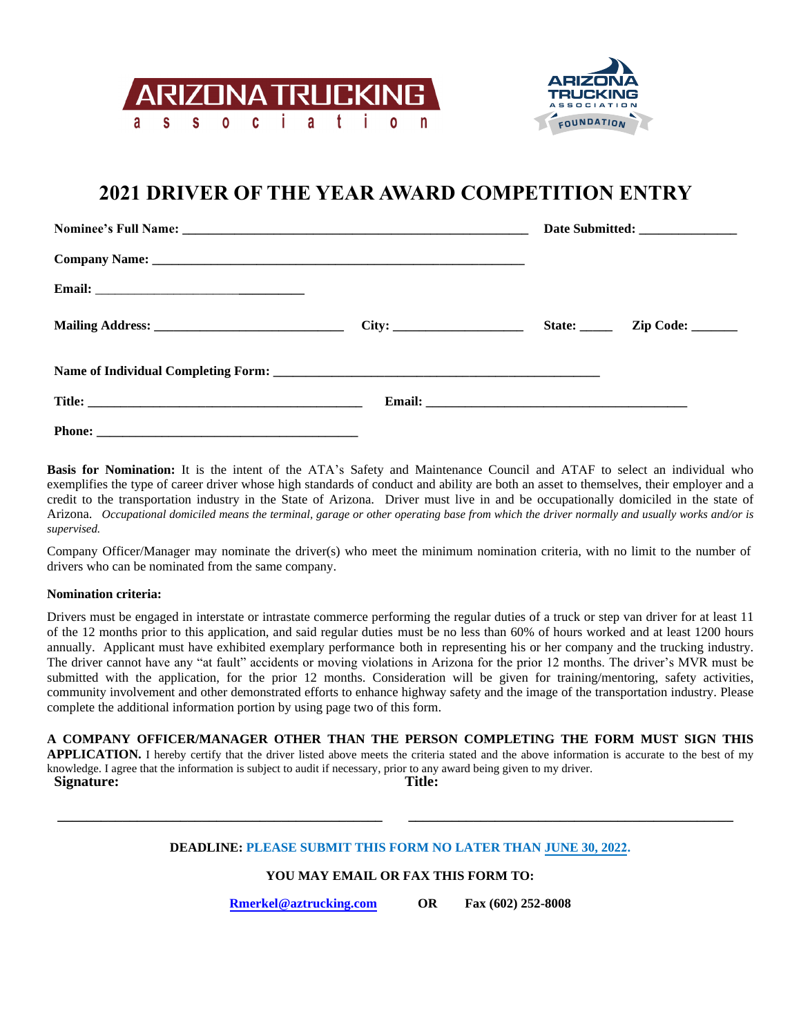



**\_\_\_\_\_\_\_\_\_\_\_\_\_\_\_\_\_\_\_\_\_\_\_\_\_\_\_\_\_\_\_\_\_\_\_\_\_\_\_\_\_\_\_\_\_**

## **2021 DRIVER OF THE YEAR AWARD COMPETITION ENTRY**

|  | Date Submitted: ________________ |  |  |  |
|--|----------------------------------|--|--|--|
|  |                                  |  |  |  |
|  |                                  |  |  |  |
|  |                                  |  |  |  |
|  |                                  |  |  |  |
|  |                                  |  |  |  |
|  |                                  |  |  |  |

**Basis for Nomination:** It is the intent of the ATA's Safety and Maintenance Council and ATAF to select an individual who exemplifies the type of career driver whose high standards of conduct and ability are both an asset to themselves, their employer and a credit to the transportation industry in the State of Arizona. Driver must live in and be occupationally domiciled in the state of Arizona. *Occupational domiciled means the terminal, garage or other operating base from which the driver normally and usually works and/or is supervised.*

Company Officer/Manager may nominate the driver(s) who meet the minimum nomination criteria, with no limit to the number of drivers who can be nominated from the same company.

## **Nomination criteria:**

**\_\_\_\_\_\_\_\_\_\_\_\_\_\_\_\_\_\_\_\_\_\_\_\_\_\_\_\_\_\_\_\_\_\_\_\_\_\_\_\_\_\_\_\_\_**

Drivers must be engaged in interstate or intrastate commerce performing the regular duties of a truck or step van driver for at least 11 of the 12 months prior to this application, and said regular duties must be no less than 60% of hours worked and at least 1200 hours annually. Applicant must have exhibited exemplary performance both in representing his or her company and the trucking industry. The driver cannot have any "at fault" accidents or moving violations in Arizona for the prior 12 months. The driver's MVR must be submitted with the application, for the prior 12 months. Consideration will be given for training/mentoring, safety activities, community involvement and other demonstrated efforts to enhance highway safety and the image of the transportation industry. Please complete the additional information portion by using page two of this form.

**A COMPANY OFFICER/MANAGER OTHER THAN THE PERSON COMPLETING THE FORM MUST SIGN THIS APPLICATION.** I hereby certify that the driver listed above meets the criteria stated and the above information is accurate to the best of my knowledge. I agree that the information is subject to audit if necessary, prior to any award being given to my driver. **Signature: Title:**

## **DEADLINE: PLEASE SUBMIT THIS FORM NO LATER THAN JUNE 30, 2022.**

## **YOU MAY EMAIL OR FAX THIS FORM TO:**

**Rmerkel@aztrucking.com OR Fax (602) 252-8008**